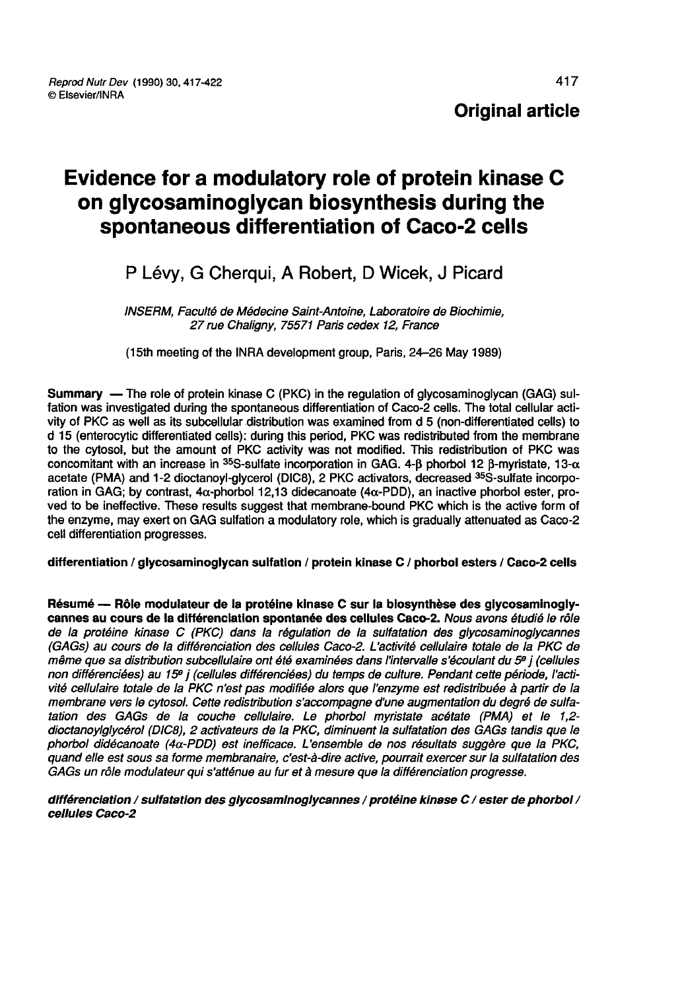# Evidence for a modulatory role of protein kinase C on glycosaminoglycan biosynthesis during the spontaneous differentiation of Caco-2 cells

## P Lévy, G Cherqui, A Robert, D Wicek, J Picard

INSERM, Faculté de Médecine Saint-Antoine, Laboratoire de Biochimie, 27 rue Chaligny, 75571 Paris cedex 12, France

(l5th meeting of the INRA development group, Paris, 24-26 May 1989)

Summary — The role of protein kinase C (PKC) in the regulation of glycosaminoglycan (GAG) sulfation was investigated during the spontaneous differentiation of Caco-2 cells. The total cellular activity of PKC as well as its subcellular distribution was examined from d 5 (non-differentiated cells) to d 15 (enterocytic differentiated cells): during this period, PKC was redistributed from the membrane to the cytosol, but the amount of PKC activity was not modified. This redistribution of PKC was d 15 (enterocytic differentiated cells): during this period, PKC was redistributed from the membrane<br>to the cytosol, but the amount of PKC activity was not modified. This redistribution of PKC was<br>concomitant with an incr concomitant with an increase in <sup>35</sup>S-sulfate incorporation in GAG. 4-β phorbol 12 β-myristate, 13-α<br>acetate (PMA) and 1-2 dioctanoyl-glycerol (DIC8), 2 PKC activators, decreased <sup>35</sup>S-sulfate incorporation in GAG; by contrast,  $4\alpha$ -phorbol 12,13 didecanoate  $(4\alpha$ -PDD), an inactive phorbol ester, proved to be ineffective. These results suggest that membrane-bound PKC which is the active form of the enzyme, may exert on GAG sulfation a modulatory role, which is gradually attenuated as Caco-2 cell differentiation progresses.

differentiation / glycosaminoglycan sulfation / protein kinase C / phorbol esters / Caco-2 cells

Résumé ― Rôle modulateur de la protéine kinase C sur la biosynthèse des glycosaminogly cannes au cours de la différenciation spontanée des cellules Caco-2. Nous avons étudié le rôle de la protéine kinase C (PKC) dans la régulation de la sulfatation des glycosaminoglycannes (GAGs) au cours de la différenciation des cellules Caco-2. L'activité cellulaire totale de la PKC de<br>même que sa distribution subcellulaire ont été examinées dans l'intervalle s'écoulant du 5º i (cellules non différenciées) au 15<sup>e</sup> j (cellules différenciées) du temps de culture. Pendant cette période, l'activité cellulaire totale de la PKC n'est pas modifiée alors que l'enzyme est redistribuée à partir de la membrane vers le cytosol. Cette redistribution s accompagne d'une augmentation du degré de sulfatation des GAGs de la couche cellulaire. Le phorbol myristate acétate (PMA) et le 1,2 dioctanoylglycérol (DICB), 2 activateurs de la PKC, diminuent la sulfatation des GAGs tandis que le phorbol didécanoate (4a-PDD) est inefficace. L'ensemble de nos résultats suggère que la PKC, quand elle est sous sa forme membranaire, c'est-à-dire active, pourrait exercer sur la sulfatation des GAGs un rôle modulateur qui s'atténue au fur et à mesure que la différenciation progresse.

#### différenciation / sulfatation des glycosaminoglycannes / protéine kinase C / ester de phorbol / cellules Caco-2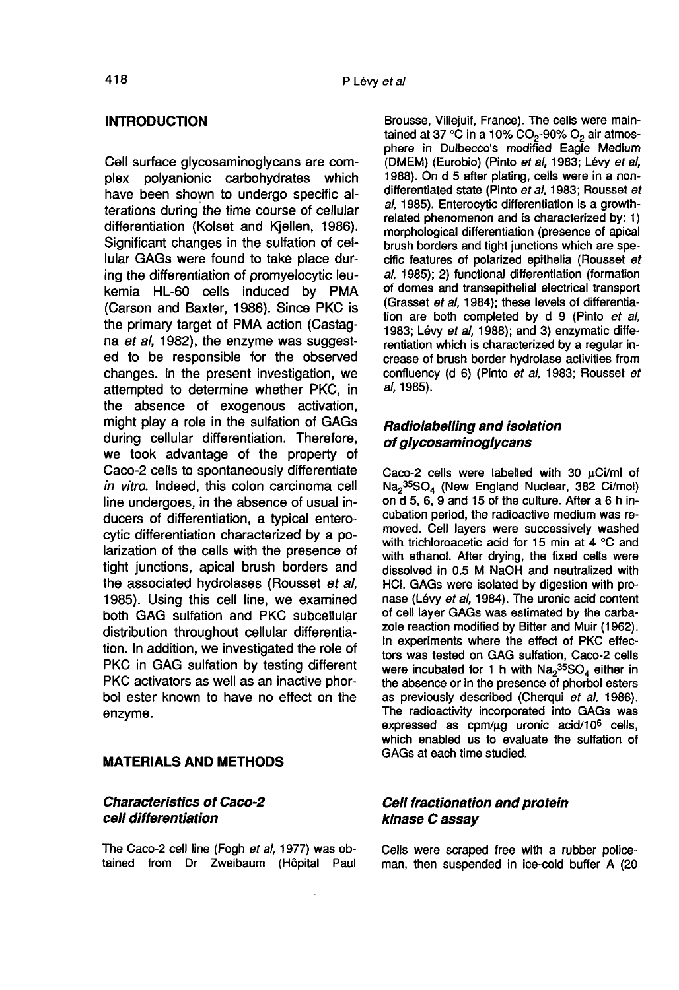## **INTRODUCTION**

Cell surface glycosaminoglycans are complex polyanionic carbohydrates which have been shown to undergo specific alterations during the time course of cellular differentiation (Kolset and Kjellen, 1986). Significant changes in the sulfation of cellular GAGs were found to take place during the differentiation of promyelocytic leukemia HL-60 cells induced by PMA (Carson and Baxter, 1986). Since PKC is the primary target of PMA action (Castag na et al, 1982), the enzyme was suggested to be responsible for the observed changes. In the present investigation, we attempted to determine whether PKC, in the absence of exogenous activation, might play a role in the sulfation of GAGs during cellular differentiation. Therefore, we took advantage of the property of Caco-2 cells to spontaneously differentiate in vitro. Indeed, this colon carcinoma cell line undergoes, in the absence of usual inducers of differentiation, a typical enterocytic differentiation characterized by a polarization of the cells with the presence of tight junctions, apical brush borders and the associated hydrolases (Rousset et al, 1985). Using this cell line, we examined both GAG sulfation and PKC subcellular distribution throughout cellular differentiation. In addition, we investigated the role of PKC in GAG sulfation by testing different PKC activators as well as an inactive phorbol ester known to have no effect on the enzyme.

## MATERIALS AND METHODS

## Characteristics of Caco-2 cell differentiation

The Caco-2 cell line (Fogh et al, 1977) was obtained from Dr Zweibaum (Hôpital Paul

Brousse, Villejuif, France). The cells were main-P Lévy et al<br>Brousse, Villejuif, France). The cells were main-<br>tained at 37 °C in a 10% CO<sub>2</sub>-90% O<sub>2</sub> air atmosphere in Dulbecco's modified Eagle Medium (DMEM) (Eurobio) (Pinto et al. 1983; Lévy et al. 1988). On d 5 after plating, cells were in a nondifferentiated state (Pinto et al, 1983; Rousset et al, 1985). Enterocytic differentiation is a growthrelated phenomenon and is characterized by: 1) morphological differentiation (presence of apical brush borders and tight junctions which are specific features of polarized epithelia (Rousset et al, 1985); 2) functional differentiation (formation of domes and transepithelial electrical transport (Grasset et al, 1984); these levels of differentiation are both completed by d 9 (Pinto et al, 1983; Lévy et al. 1988); and 3) enzymatic differentiation which is characterized by a regular increase of brush border hydrolase activities from confluency (d 6) (Pinto et al, 1983; Rousset et al, 1985).

## Radiolabelling and isolation of glycosaminoglycans

Caco-2 cells were labelled with 30 uCi/ml of  $\text{Na}_2{}^{35}\text{SO}_4$  (New England Nuclear, 382 Ci/mol) on d 5, 6, 9 and 15 of the culture. After a 6 h incubation period, the radioactive medium was removed. Cell layers were successively washed with trichloroacetic acid for 15 min at 4 °C and with ethanol. After drying, the fixed cells were dissolved in 0.5 M NaOH and neutralized with HCI. GAGs were isolated by digestion with pro nase (Lévy et al, 1984). The uronic acid content of cell layer GAGs was estimated by the carbazole reaction modified by Bitter and Muir (1962). In experiments where the effect of PKC effectors was tested on GAG sulfation, Caco-2 cells of cell layer GAGs was estimated by the carba-<br>zole reaction modified by Bitter and Muir (1962).<br>In experiments where the effect of PKC effec-<br>tors was tested on GAG sulfation, Caco-2 cells<br>were incubated for 1 h with  $Na_$ the absence or in the presence of phorbol esters as previously described (Cherqui et al, 1986). The radioactivity incorporated into GAGs was were incubated for 1 h with  $Na_2^{35}SO_4$  either in<br>the absence or in the presence of phorbol esters<br>as previously described (Cherqui *et al.*, 1986).<br>The radioactivity incorporated into GAGs was<br>expressed as cpm/µg uronic which enabled us to evaluate the sulfation of GAGs at each time studied.

## Cell fractionation and protein kinase C assay

Cells were scraped free with a rubber police- man, then suspended in ice-cold buffer A (20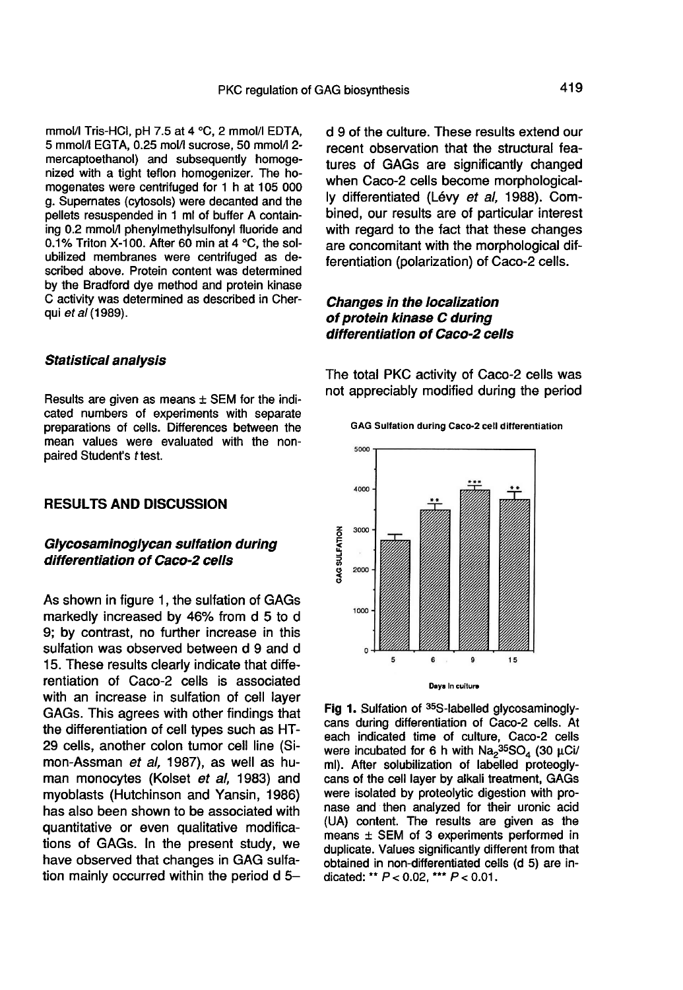mmol/l Tris-HCl, pH 7.5 at 4 °C, 2 mmol/l EDTA, 5 mmol/i EGTA, 0.25 mol/l sucrose, 50 mmol/l 2mercaptoethanol) and subsequently homogenized with a tight teflon homogenizer. The homogenates were centrifuged for 1 h at 105 000 g. Supernates (cytosols) were decanted and the pellets resuspended in 1 ml of buffer A containing 0.2 mmol/l phenylmethylsulfonyl fluoride and 0.1 % Triton X-100. After 60 min at 4 °C, the solubilized membranes were centrifuged as described above. Protein content was determined by the Bradford dye method and protein kinase C activity was determined as described in Cherqui et al (1989).

#### Statistical analysis

Results are given as means  $\pm$  SEM for the indicated numbers of experiments with separate preparations of cells. Differences between the mean values were evaluated with the nonpaired Student's t test.

## RESULTS AND DISCUSSION

## Glycosaminoglycan sulfation during differentiation of Caco-2 cells

As shown in figure 1, the sulfation of GAGs markedly increased by 46% from d 5 to d 9; by contrast, no further increase in this sulfation was observed between d 9 and d 15. These results clearly indicate that differentiation of Caco-2 cells is associated with an increase in sulfation of cell layer GAGs. This agrees with other findings that the differentiation of cell types such as HT-29 cells, another colon tumor cell line (Simon-Assman et al, 1987), as well as human monocytes (Kolset et al, 1983) and myoblasts (Hutchinson and Yansin, 1986) has also been shown to be associated with quantitative or even qualitative modifications of GAGs. In the present study, we have observed that changes in GAG sulfation mainly occurred within the period d 5d 9 of the culture. These results extend our recent observation that the structural features of GAGs are significantly changed when Caco-2 cells become morphologically differentiated (Lévy et al. 1988). Combined, our results are of particular interest with regard to the fact that these changes are concomitant with the morphological differentiation (polarization) of Caco-2 cells.

## Changes in the localization of protein kinase C during differentiation of Caco-2 cells

The total PKC activity of Caco-2 cells was not appreciably modified during the period

GAG Sulfation during Caco-2 cell differentiation



Fig 1. Sulfation of 35S-labelled glycosaminoglycans during differentiation of Caco-2 cells. At each indicated time of culture, Caco-2 cells were incubated for 6 h with  $\text{Na}_2{}^{35}\text{SO}_4$  (30 µCi/ ml). After solubilization of labelled proteoglycans of the cell layer by alkali treatment, GAGs were isolated by proteolytic digestion with pronase and then analyzed for their uronic acid (UA) content. The results are given as the means  $\pm$  SEM of 3 experiments performed in duplicate. Values significantly different from that obtained in non-differentiated cells (d 5) are indicated: \*\*  $P < 0.02$ , \*\*\*  $P < 0.01$ .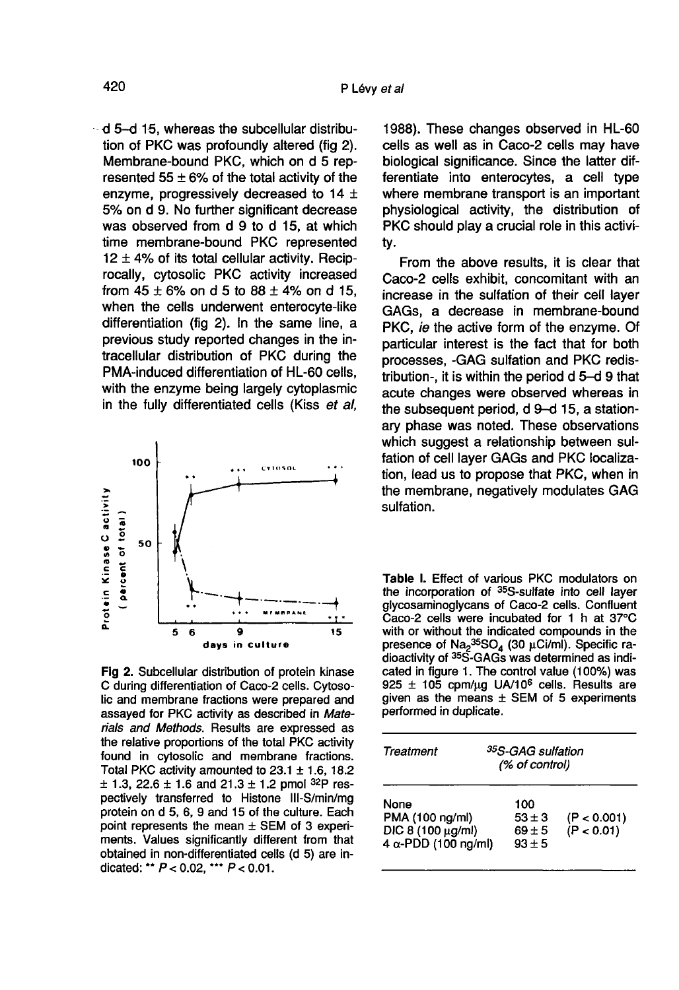d 5-d 15, whereas the subcellular distribution of PKC was profoundly altered (fig 2). Membrane-bound PKC, which on d 5 represented  $55 \pm 6\%$  of the total activity of the enzyme, progressively decreased to 14 ± 5% on d 9. No further significant decrease was observed from d 9 to d 15, at which time membrane-bound PKC represented  $12 \pm 4\%$  of its total cellular activity. Reciprocally, cytosolic PKC activity increased from  $45 \pm 6\%$  on d 5 to  $88 \pm 4\%$  on d 15, when the cells underwent enterocyte-like differentiation (fig 2). In the same line, a previous study reported changes in the intracellular distribution of PKC during the PMA-induced differentiation of HL-60 cells, with the enzyme being largely cytoplasmic in the fully differentiated cells (Kiss et al,



Fig 2. Subcellular distribution of protein kinase C during differentiation of Caco-2 cells. Cytosolic and membrane fractions were prepared and assayed for PKC activity as described in Materials and Methods. Results are expressed as the relative proportions of the total PKC activity found in cytosolic and membrane fractions. Total PKC activity amounted to  $23.1 \pm 1.6$ , 18.2  $\pm$  1.3, 22.6  $\pm$  1.6 and 21.3  $\pm$  1.2 pmol <sup>32</sup>P respectively transferred to Histone III-S/min/mg protein on d 5, 6, 9 and 15 of the culture. Each point represents the mean  $\pm$  SEM of 3 experiments. Values significantly different from that obtained in non-differentiated cells (d 5) are indicated: \*\*  $P < 0.02$ , \*\*\*  $P < 0.01$ .

1988). These changes observed in HL-60 cells as well as in Caco-2 cells may have biological significance. Since the latter differentiate into enterocytes, a cell type where membrane transport is an important physiological activity, the distribution of PKC should play a crucial role in this activity.

From the above results, it is clear that Caco-2 cells exhibit, concomitant with an increase in the sulfation of their cell layer GAGs, a decrease in membrane-bound PKC, *ie* the active form of the enzyme. Of particular interest is the fact that for both processes, -GAG sulfation and PKC redistribution-, it is within the period d 5-d 9 that acute changes were observed whereas in the subsequent period, d 9-d 15, a stationary phase was noted. These observations which suggest a relationship between sulfation of cell layer GAGs and PKC localization, lead us to propose that PKC, when in the membrane, negatively modulates GAG sulfation.

Table I. Effect of various PKC modulators on the incorporation of 35S-sulfate into cell layer glycosaminoglycans of Caco-2 cells. Confluent Caco-2 cells were incubated for 1 h at 37°C with or without the indicated compounds in the presence of Na<sub>2</sub>35SO<sub>4</sub> (30 µCi/ml). Specific radioactivity of <sup>35</sup>S-GAGs was determined as indicated in figure 1. The control value (100%) was 925  $\pm$  105 cpm/ug UA/10<sup>6</sup> cells. Results are given as the means  $\pm$  SEM of 5 experiments performed in duplicate.

| Treatment                                                                   |                                             | <sup>35</sup> S-GAG sulfation<br>(% of control) |  |
|-----------------------------------------------------------------------------|---------------------------------------------|-------------------------------------------------|--|
| None<br>PMA (100 ng/ml)<br>DIC 8 (100 µg/ml)<br>4 $\alpha$ -PDD (100 ng/ml) | 100<br>$53 \pm 3$<br>$69 \pm 5$<br>$93 + 5$ | (P < 0.001)<br>(P < 0.01)                       |  |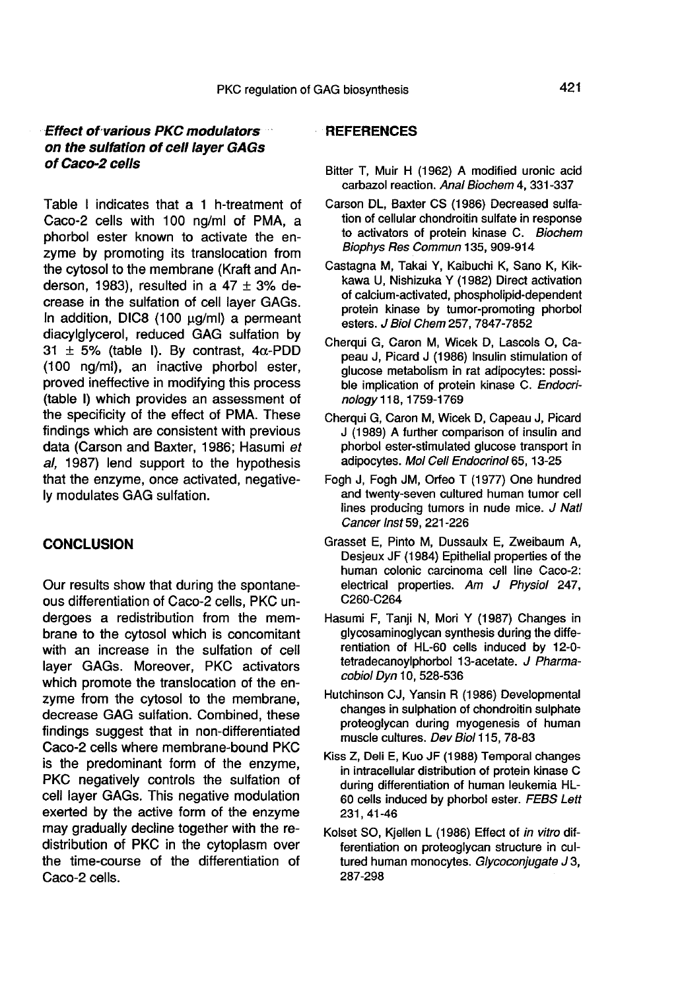## Effect of various PKC modulators on the sulfation of cell layer GAGs of Caco-2 cells

Table I indicates that a 1 h-treatment of Caco-2 cells with 100 ng/ml of PMA, a phorbol ester known to activate the enzyme by promoting its translocation from the cytosol to the membrane (Kraft and Anderson, 1983), resulted in a  $47 \pm 3\%$  decrease in the sulfation of cell layer GAGs. In addition, DIC8 (100 ug/ml) a permeant diacylglycerol, reduced GAG sulfation by 31  $\pm$  5% (table I). By contrast, 4 $\alpha$ -PDD (100 ng/ml), an inactive phorbol ester, proved ineffective in modifying this process (table I) which provides an assessment of the specificity of the effect of PMA. These findings which are consistent with previous data (Carson and Baxter, 1986; Hasumi et al, 1987) lend support to the hypothesis that the enzyme, once activated, negatively modulates GAG sulfation.

## **CONCLUSION**

Our results show that during the spontane- ous differentiation of Caco-2 cells, PKC undergoes a redistribution from the membrane to the cytosol which is concomitant with an increase in the sulfation of cell layer GAGs. Moreover, PKC activators which promote the translocation of the enzyme from the cytosol to the membrane, decrease GAG sulfation. Combined, these findings suggest that in non-differentiated Caco-2 cells where membrane-bound PKC is the predominant form of the enzyme, PKC negatively controls the sulfation of cell layer GAGs. This negative modulation exerted by the active form of the enzyme may gradually decline together with the redistribution of PKC in the cytoplasm over the time-course of the differentiation of Caco-2 cells.

## **REFERENCES**

- Bitter T, Muir H (1962) A modified uronic acid carbazol reaction. Anal Biochem 4, 331-337
- Carson DL, Baxter CS (1986) Decreased sulfation of cellular chondroitin sulfate in response to activators of protein kinase C. Biochem Biophys Res Commun 135, 909-914
- Castagna M, Takai Y, Kaibuchi K, Sano K, Kikkawa U, Nishizuka Y (1982) Direct activation of calcium-activated, phospholipid-dependent esters. J Biol Chem 257, 7847-7852
- Cherqui G, Caron M, Wicek D, Lascols 0, Capeau J, Picard J (1986) Insulin stimulation of glucose metabolism in rat adipocytes: possible implication of protein kinase C. Endocrinology 118, 1759-1769
- Cherqui G, Caron M, Wicek D, Capeau J, Picard J (1989) A further comparison of insulin and phorbol ester-stimulated glucose transport in adipocytes. Mol Cell Endocrinol 65, 13-25
- Fogh J, Fogh JM, Orfeo T (1977) One hundred and twenty-seven cultured human tumor cell lines producing tumors in nude mice. J Natl Cancer Inst 59, 221-226
- Grasset E, Pinto M, Dussaulx E, Zweibaum A, Desjeux JF (1984) Epithelial properties of the human colonic carcinoma cell line Caco-2: electrical properties. Am J Physiol 247, C260-C264
- Hasumi F, Tanji N, Mori Y (1987) Changes in glycosaminoglycan synthesis during the differentiation of HL-60 cells induced by 12-0 tetradecanoylphorbol 13-acetate. J Pharmacobiol Dyn 10, 528-536
- Hutchinson CJ, Yansin R (1986) Developmental changes in sulphation of chondroitin sulphate proteoglycan during myogenesis of human muscle cultures. Dev Biol 115, 78-83
- Kiss Z, Deli E, Kuo JF (1988) Temporal changes in intracellular distribution of protein kinase C during differentiation of human leukemia HL-60 cells induced by phorbol ester. FEBS Lett 231, 41-46
- Kolset SO, Kjellen L (1986) Effect of in vitro differentiation on proteoglycan structure in cultured human monocytes. Glycoconjugate J3, 287-298